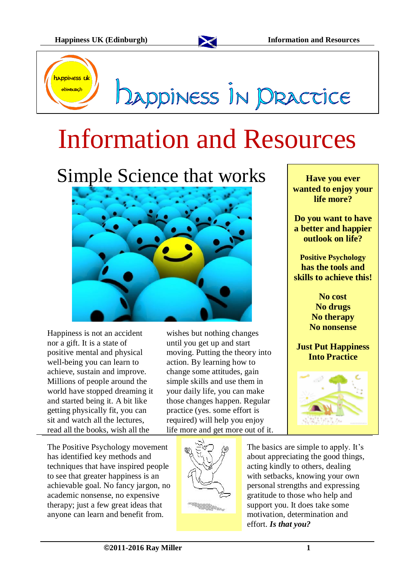

Dappiness In DRACTICE

# Information and Resources

# Simple Science that works



Happiness is not an accident nor a gift. It is a state of positive mental and physical well-being you can learn to achieve, sustain and improve. Millions of people around the world have stopped dreaming it and started being it. A bit like getting physically fit, you can sit and watch all the lectures, read all the books, wish all the

The Positive Psychology movement has identified key methods and techniques that have inspired people to see that greater happiness is an achievable goal. No fancy jargon, no academic nonsense, no expensive therapy; just a few great ideas that anyone can learn and benefit from.

wishes but nothing changes until you get up and start moving. Putting the theory into action. By learning how to change some attitudes, gain simple skills and use them in your daily life, you can make those changes happen. Regular practice (yes. some effort is required) will help you enjoy life more and get more out of it.



The basics are simple to apply. It's about appreciating the good things, acting kindly to others, dealing with setbacks, knowing your own personal strengths and expressing gratitude to those who help and support you. It does take some

**Have you ever wanted to enjoy your life more?**

**Do you want to have a better and happier outlook on life?**

**Positive Psychology has the tools and skills to achieve this!**

> **No cost No drugs No therapy No nonsense**

**Just Put Happiness Into Practice**



motivation, determination and

effort. *Is that you?*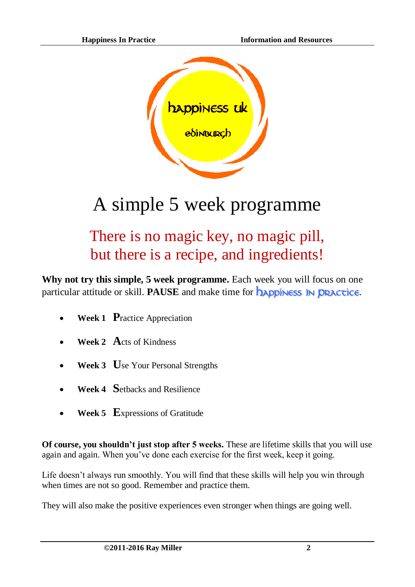

# A simple 5 week programme

# There is no magic key, no magic pill, but there is a recipe, and ingredients!

**Why not try this simple, 5 week programme.** Each week you will focus on one particular attitude or skill. **PAUSE** and make time for **DAPPINESS IN PRACTICE**.

- **Week 1 P**ractice Appreciation
- **Week 2 A**cts of Kindness
- **Week 3 U**se Your Personal Strengths
- **Week 4 S**etbacks and Resilience
- **Week 5 E**xpressions of Gratitude

**Of course, you shouldn't just stop after 5 weeks.** These are lifetime skills that you will use again and again. When you've done each exercise for the first week, keep it going.

Life doesn't always run smoothly. You will find that these skills will help you win through when times are not so good. Remember and practice them.

They will also make the positive experiences even stronger when things are going well.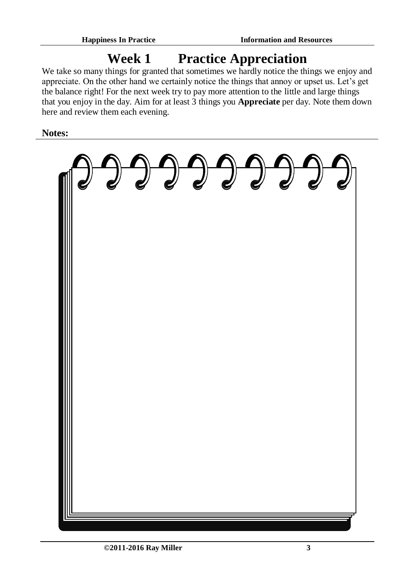# **Week 1 Practice Appreciation**

We take so many things for granted that sometimes we hardly notice the things we enjoy and appreciate. On the other hand we certainly notice the things that annoy or upset us. Let's get the balance right! For the next week try to pay more attention to the little and large things that you enjoy in the day. Aim for at least 3 things you **Appreciate** per day. Note them down here and review them each evening.

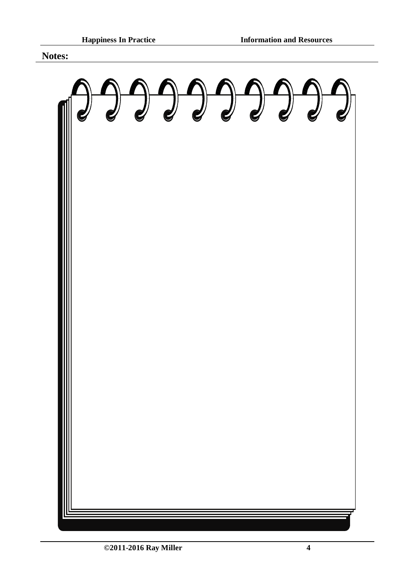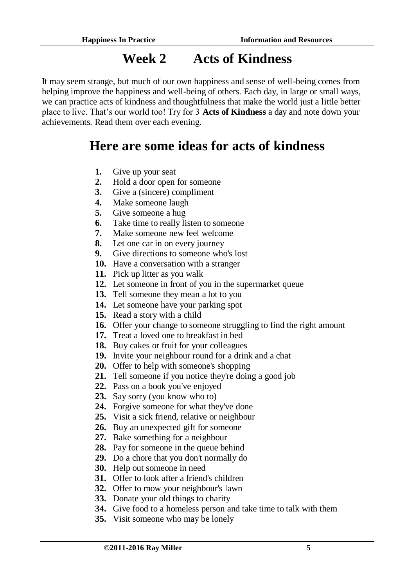## **Week 2 Acts of Kindness**

It may seem strange, but much of our own happiness and sense of well-being comes from helping improve the happiness and well-being of others. Each day, in large or small ways, we can practice acts of kindness and thoughtfulness that make the world just a little better place to live. That's our world too! Try for 3 **Acts of Kindness** a day and note down your achievements. Read them over each evening.

# **Here are some ideas for acts of kindness**

- **1.** Give up your seat **2.** Hold a door open
- **2.** Hold a door open for someone<br>**3.** Give a (sincere) compliment
- **3.** Give a (sincere) compliment
- **4.** Make someone laugh
- **5.** Give someone a hug
- **6.** Take time to really listen to someone
- **7.** Make someone new feel welcome
- **8.** Let one car in on every journey
- **9.** Give directions to someone who's lost
- **10.** Have a conversation with a stranger
- **11.** Pick up litter as you walk
- **12.** Let someone in front of you in the supermarket queue
- **13.** Tell someone they mean a lot to you
- **14.** Let someone have your parking spot
- **15.** Read a story with a child
- **16.** Offer your change to someone struggling to find the right amount
- **17.** Treat a loved one to breakfast in bed
- **18.** Buy cakes or fruit for your colleagues
- **19.** Invite your neighbour round for a drink and a chat
- **20.** Offer to help with someone's shopping
- **21.** Tell someone if you notice they're doing a good job
- **22.** Pass on a book you've enjoyed
- **23.** Say sorry (you know who to)
- **24.** Forgive someone for what they've done
- **25.** Visit a sick friend, relative or neighbour
- **26.** Buy an unexpected gift for someone
- **27.** Bake something for a neighbour
- **28.** Pay for someone in the queue behind
- **29.** Do a chore that you don't normally do
- **30.** Help out someone in need
- **31.** Offer to look after a friend's children
- **32.** Offer to mow your neighbour's lawn
- **33.** Donate your old things to charity
- **34.** Give food to a homeless person and take time to talk with them
- **35.** Visit someone who may be lonely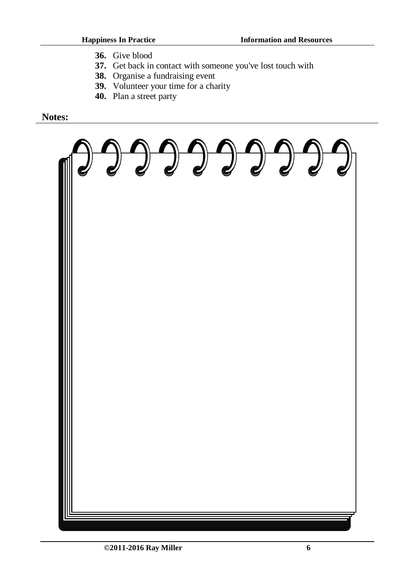- **36.** Give blood
- **37.** Get back in contact with someone you've lost touch with
- **38.** Organise a fundraising event
- **39.** Volunteer your time for a charity
- **40.** Plan a street party

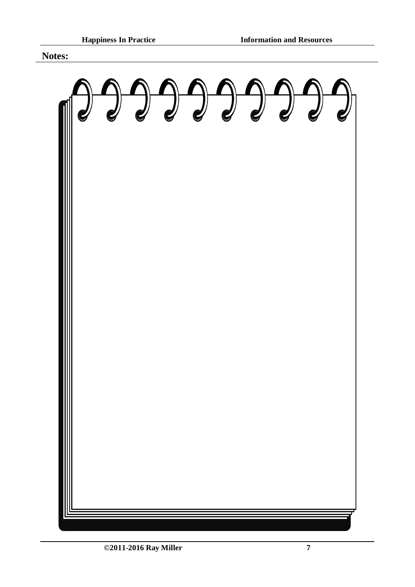$\partial \partial$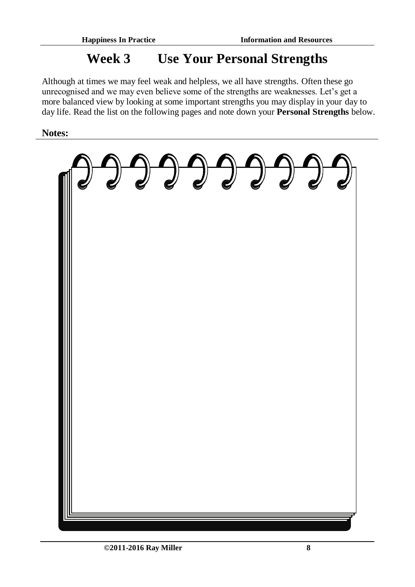# **Week 3 Use Your Personal Strengths**

Although at times we may feel weak and helpless, we all have strengths. Often these go unrecognised and we may even believe some of the strengths are weaknesses. Let's get a more balanced view by looking at some important strengths you may display in your day to day life. Read the list on the following pages and note down your **Personal Strengths** below.

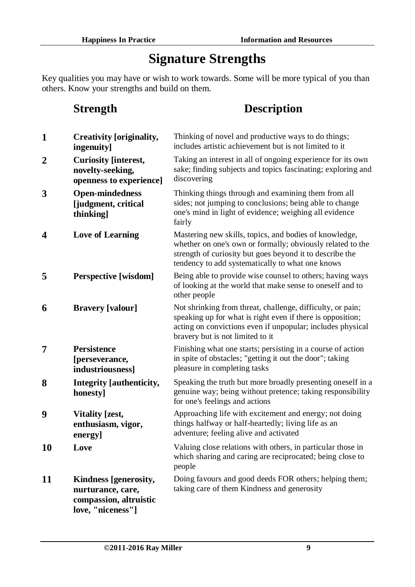# **Signature Strengths**

Key qualities you may have or wish to work towards. Some will be more typical of you than others. Know your strengths and build on them.

## **Strength Description**

| $\mathbf{1}$            | <b>Creativity [originality,</b><br>ingenuity]                                             | Thinking of novel and productive ways to do things;<br>includes artistic achievement but is not limited to it                                                                                                                        |
|-------------------------|-------------------------------------------------------------------------------------------|--------------------------------------------------------------------------------------------------------------------------------------------------------------------------------------------------------------------------------------|
| $\mathbf 2$             | <b>Curiosity [interest,</b><br>novelty-seeking,<br>openness to experience]                | Taking an interest in all of ongoing experience for its own<br>sake; finding subjects and topics fascinating; exploring and<br>discovering                                                                                           |
| 3                       | <b>Open-mindedness</b><br>[judgment, critical<br>thinking]                                | Thinking things through and examining them from all<br>sides; not jumping to conclusions; being able to change<br>one's mind in light of evidence; weighing all evidence<br>fairly                                                   |
| $\overline{\mathbf{4}}$ | <b>Love of Learning</b>                                                                   | Mastering new skills, topics, and bodies of knowledge,<br>whether on one's own or formally; obviously related to the<br>strength of curiosity but goes beyond it to describe the<br>tendency to add systematically to what one knows |
| 5                       | <b>Perspective [wisdom]</b>                                                               | Being able to provide wise counsel to others; having ways<br>of looking at the world that make sense to oneself and to<br>other people                                                                                               |
| 6                       | <b>Bravery</b> [valour]                                                                   | Not shrinking from threat, challenge, difficulty, or pain;<br>speaking up for what is right even if there is opposition;<br>acting on convictions even if unpopular; includes physical<br>bravery but is not limited to it           |
| 7                       | <b>Persistence</b><br>[perseverance,<br>industriousness]                                  | Finishing what one starts; persisting in a course of action<br>in spite of obstacles; "getting it out the door"; taking<br>pleasure in completing tasks                                                                              |
| 8                       | Integrity [authenticity,<br>honestyl                                                      | Speaking the truth but more broadly presenting oneself in a<br>genuine way; being without pretence; taking responsibility<br>for one's feelings and actions                                                                          |
| 9                       | <b>Vitality</b> [zest,<br>enthusiasm, vigor,<br>energy                                    | Approaching life with excitement and energy; not doing<br>things halfway or half-heartedly; living life as an<br>adventure; feeling alive and activated                                                                              |
| 10                      | Love                                                                                      | Valuing close relations with others, in particular those in<br>which sharing and caring are reciprocated; being close to<br>people                                                                                                   |
| 11                      | Kindness [generosity,<br>nurturance, care,<br>compassion, altruistic<br>love, "niceness"] | Doing favours and good deeds FOR others; helping them;<br>taking care of them Kindness and generosity                                                                                                                                |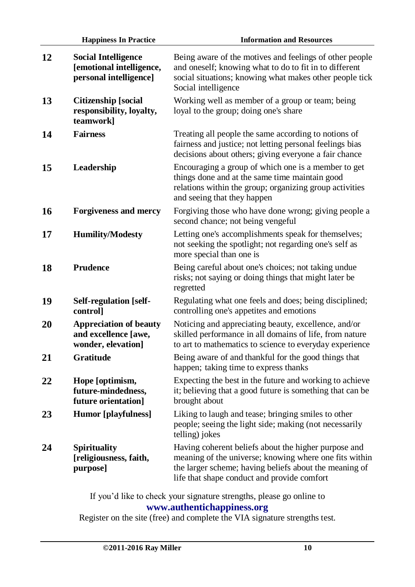|    | <b>Happiness In Practice</b>                                                     | <b>Information and Resources</b>                                                                                                                                                                                        |
|----|----------------------------------------------------------------------------------|-------------------------------------------------------------------------------------------------------------------------------------------------------------------------------------------------------------------------|
| 12 | <b>Social Intelligence</b><br>[emotional intelligence,<br>personal intelligence] | Being aware of the motives and feelings of other people<br>and oneself; knowing what to do to fit in to different<br>social situations; knowing what makes other people tick<br>Social intelligence                     |
| 13 | <b>Citizenship</b> [social<br>responsibility, loyalty,<br>teamwork]              | Working well as member of a group or team; being<br>loyal to the group; doing one's share                                                                                                                               |
| 14 | <b>Fairness</b>                                                                  | Treating all people the same according to notions of<br>fairness and justice; not letting personal feelings bias<br>decisions about others; giving everyone a fair chance                                               |
| 15 | Leadership                                                                       | Encouraging a group of which one is a member to get<br>things done and at the same time maintain good<br>relations within the group; organizing group activities<br>and seeing that they happen                         |
| 16 | <b>Forgiveness and mercy</b>                                                     | Forgiving those who have done wrong; giving people a<br>second chance; not being vengeful                                                                                                                               |
| 17 | <b>Humility/Modesty</b>                                                          | Letting one's accomplishments speak for themselves;<br>not seeking the spotlight; not regarding one's self as<br>more special than one is                                                                               |
| 18 | <b>Prudence</b>                                                                  | Being careful about one's choices; not taking undue<br>risks; not saying or doing things that might later be<br>regretted                                                                                               |
| 19 | Self-regulation [self-<br>controll                                               | Regulating what one feels and does; being disciplined;<br>controlling one's appetites and emotions                                                                                                                      |
| 20 | <b>Appreciation of beauty</b><br>and excellence [awe,<br>wonder, elevation]      | Noticing and appreciating beauty, excellence, and/or<br>skilled performance in all domains of life, from nature<br>to art to mathematics to science to everyday experience                                              |
| 21 | Gratitude                                                                        | Being aware of and thankful for the good things that<br>happen; taking time to express thanks                                                                                                                           |
| 22 | Hope [optimism,<br>future-mindedness,<br>future orientation]                     | Expecting the best in the future and working to achieve<br>it; believing that a good future is something that can be<br>brought about                                                                                   |
| 23 | <b>Humor</b> [playfulness]                                                       | Liking to laugh and tease; bringing smiles to other<br>people; seeing the light side; making (not necessarily<br>telling) jokes                                                                                         |
| 24 | Spirituality<br>[religiousness, faith,<br>purpose]                               | Having coherent beliefs about the higher purpose and<br>meaning of the universe; knowing where one fits within<br>the larger scheme; having beliefs about the meaning of<br>life that shape conduct and provide comfort |

If you'd like to check your signature strengths, please go online to **www.authentichappiness.org**

Register on the site (free) and complete the VIA signature strengths test.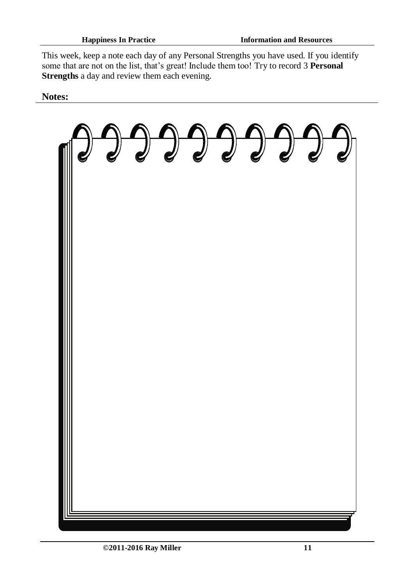This week, keep a note each day of any Personal Strengths you have used. If you identify some that are not on the list, that's great! Include them too! Try to record 3 **Personal Strengths** a day and review them each evening.

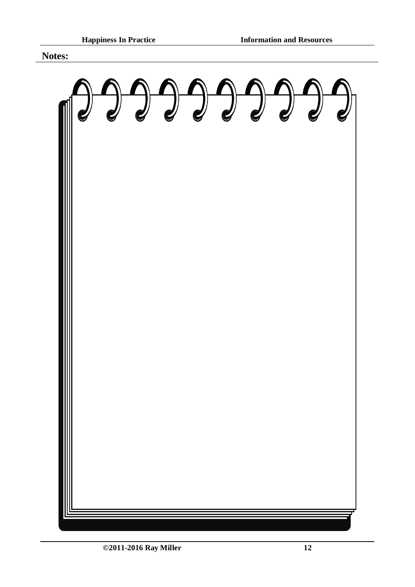$\overline{\mathcal{Q}}$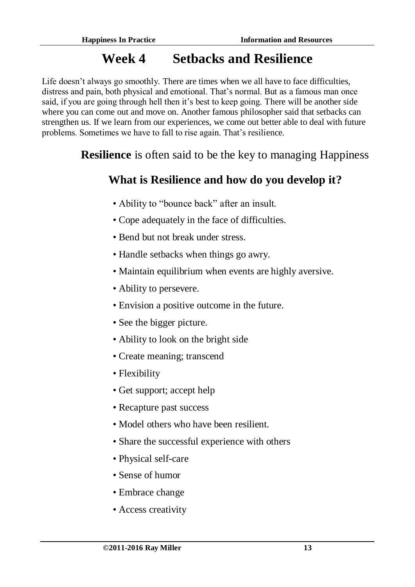# **Week 4 Setbacks and Resilience**

Life doesn't always go smoothly. There are times when we all have to face difficulties, distress and pain, both physical and emotional. That's normal. But as a famous man once said, if you are going through hell then it's best to keep going. There will be another side where you can come out and move on. Another famous philosopher said that setbacks can strengthen us. If we learn from our experiences, we come out better able to deal with future problems. Sometimes we have to fall to rise again. That's resilience.

**Resilience** is often said to be the key to managing Happiness

### **What is Resilience and how do you develop it?**

- Ability to "bounce back" after an insult.
- Cope adequately in the face of difficulties.
- Bend but not break under stress.
- Handle setbacks when things go awry.
- Maintain equilibrium when events are highly aversive.
- Ability to persevere.
- Envision a positive outcome in the future.
- See the bigger picture.
- Ability to look on the bright side
- Create meaning; transcend
- Flexibility
- Get support; accept help
- Recapture past success
- Model others who have been resilient.
- Share the successful experience with others
- Physical self-care
- Sense of humor
- Embrace change
- Access creativity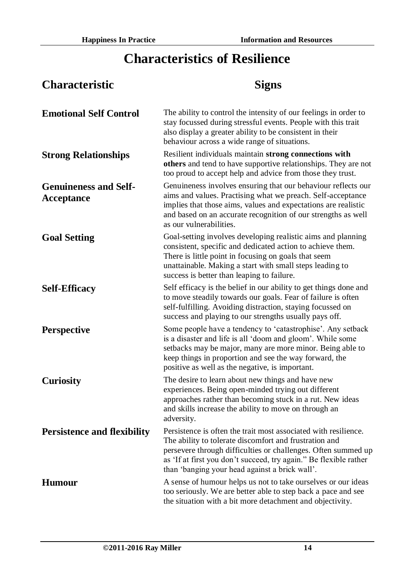# **Characteristics of Resilience**

| <b>Characteristic</b>                      | <b>Signs</b>                                                                                                                                                                                                                                                                                                      |
|--------------------------------------------|-------------------------------------------------------------------------------------------------------------------------------------------------------------------------------------------------------------------------------------------------------------------------------------------------------------------|
| <b>Emotional Self Control</b>              | The ability to control the intensity of our feelings in order to<br>stay focussed during stressful events. People with this trait<br>also display a greater ability to be consistent in their<br>behaviour across a wide range of situations.                                                                     |
| <b>Strong Relationships</b>                | Resilient individuals maintain strong connections with<br>others and tend to have supportive relationships. They are not<br>too proud to accept help and advice from those they trust.                                                                                                                            |
| <b>Genuineness and Self-</b><br>Acceptance | Genuineness involves ensuring that our behaviour reflects our<br>aims and values. Practising what we preach. Self-acceptance<br>implies that those aims, values and expectations are realistic<br>and based on an accurate recognition of our strengths as well<br>as our vulnerabilities.                        |
| <b>Goal Setting</b>                        | Goal-setting involves developing realistic aims and planning<br>consistent, specific and dedicated action to achieve them.<br>There is little point in focusing on goals that seem<br>unattainable. Making a start with small steps leading to<br>success is better than leaping to failure.                      |
| <b>Self-Efficacy</b>                       | Self efficacy is the belief in our ability to get things done and<br>to move steadily towards our goals. Fear of failure is often<br>self-fulfilling. Avoiding distraction, staying focussed on<br>success and playing to our strengths usually pays off.                                                         |
| Perspective                                | Some people have a tendency to 'catastrophise'. Any setback<br>is a disaster and life is all 'doom and gloom'. While some<br>setbacks may be major, many are more minor. Being able to<br>keep things in proportion and see the way forward, the<br>positive as well as the negative, is important.               |
| <b>Curiosity</b>                           | The desire to learn about new things and have new<br>experiences. Being open-minded trying out different<br>approaches rather than becoming stuck in a rut. New ideas<br>and skills increase the ability to move on through an<br>adversity.                                                                      |
| <b>Persistence and flexibility</b>         | Persistence is often the trait most associated with resilience.<br>The ability to tolerate discomfort and frustration and<br>persevere through difficulties or challenges. Often summed up<br>as 'If at first you don't succeed, try again." Be flexible rather<br>than 'banging your head against a brick wall'. |
| <b>Humour</b>                              | A sense of humour helps us not to take ourselves or our ideas<br>too seriously. We are better able to step back a pace and see<br>the situation with a bit more detachment and objectivity.                                                                                                                       |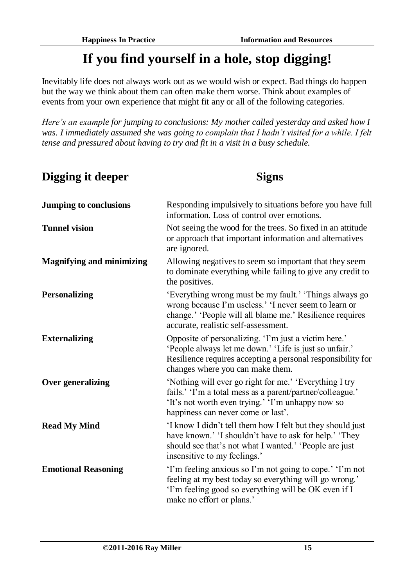# **If you find yourself in a hole, stop digging!**

Inevitably life does not always work out as we would wish or expect. Bad things do happen but the way we think about them can often make them worse. Think about examples of events from your own experience that might fit any or all of the following categories.

*Here's an example for jumping to conclusions: My mother called yesterday and asked how I was. I immediately assumed she was going to complain that I hadn't visited for a while. I felt tense and pressured about having to try and fit in a visit in a busy schedule.*

## **Digging it deeper Signs**

| <b>Jumping to conclusions</b>    | Responding impulsively to situations before you have full<br>information. Loss of control over emotions.                                                                                                            |
|----------------------------------|---------------------------------------------------------------------------------------------------------------------------------------------------------------------------------------------------------------------|
| <b>Tunnel vision</b>             | Not seeing the wood for the trees. So fixed in an attitude<br>or approach that important information and alternatives<br>are ignored.                                                                               |
| <b>Magnifying and minimizing</b> | Allowing negatives to seem so important that they seem<br>to dominate everything while failing to give any credit to<br>the positives.                                                                              |
| <b>Personalizing</b>             | 'Everything wrong must be my fault.' 'Things always go<br>wrong because I'm useless.' 'I never seem to learn or<br>change.' 'People will all blame me.' Resilience requires<br>accurate, realistic self-assessment. |
| <b>Externalizing</b>             | Opposite of personalizing. 'I'm just a victim here.'<br>'People always let me down.' 'Life is just so unfair.'<br>Resilience requires accepting a personal responsibility for<br>changes where you can make them.   |
| Over generalizing                | 'Nothing will ever go right for me.' 'Everything I try<br>fails.' 'I'm a total mess as a parent/partner/colleague.'<br>'It's not worth even trying.' 'I'm unhappy now so<br>happiness can never come or last'.      |
| <b>Read My Mind</b>              | 'I know I didn't tell them how I felt but they should just<br>have known.' 'I shouldn't have to ask for help.' 'They<br>should see that's not what I wanted.' 'People are just<br>insensitive to my feelings.'      |
| <b>Emotional Reasoning</b>       | 'I'm feeling anxious so I'm not going to cope.' 'I'm not<br>feeling at my best today so everything will go wrong.'<br>'I'm feeling good so everything will be OK even if I<br>make no effort or plans.'             |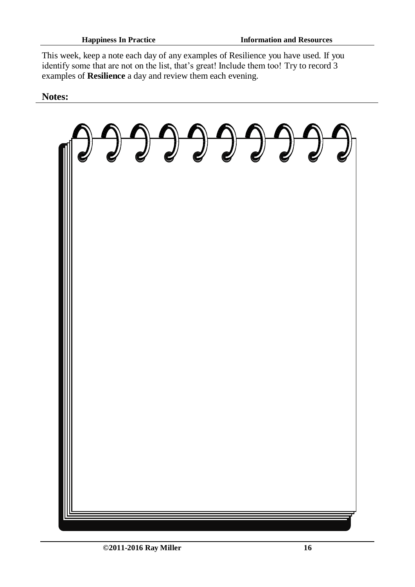This week, keep a note each day of any examples of Resilience you have used. If you identify some that are not on the list, that's great! Include them too! Try to record 3 examples of **Resilience** a day and review them each evening.

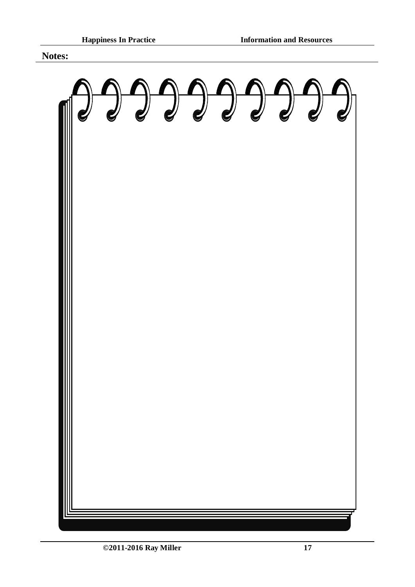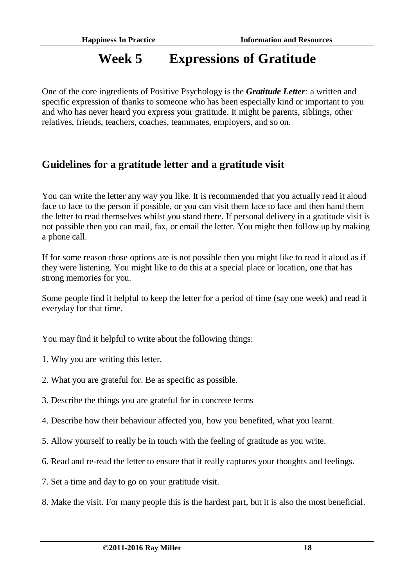# **Week 5 Expressions of Gratitude**

One of the core ingredients of Positive Psychology is the *Gratitude Letter:* a written and specific expression of thanks to someone who has been especially kind or important to you and who has never heard you express your gratitude. It might be parents, siblings, other relatives, friends, teachers, coaches, teammates, employers, and so on.

#### **Guidelines for a gratitude letter and a gratitude visit**

You can write the letter any way you like. It is recommended that you actually read it aloud face to face to the person if possible, or you can visit them face to face and then hand them the letter to read themselves whilst you stand there. If personal delivery in a gratitude visit is not possible then you can mail, fax, or email the letter. You might then follow up by making a phone call.

If for some reason those options are is not possible then you might like to read it aloud as if they were listening. You might like to do this at a special place or location, one that has strong memories for you.

Some people find it helpful to keep the letter for a period of time (say one week) and read it everyday for that time.

You may find it helpful to write about the following things:

- 1. Why you are writing this letter.
- 2. What you are grateful for. Be as specific as possible.
- 3. Describe the things you are grateful for in concrete terms
- 4. Describe how their behaviour affected you, how you benefited, what you learnt.
- 5. Allow yourself to really be in touch with the feeling of gratitude as you write.
- 6. Read and re-read the letter to ensure that it really captures your thoughts and feelings.
- 7. Set a time and day to go on your gratitude visit.
- 8. Make the visit. For many people this is the hardest part, but it is also the most beneficial.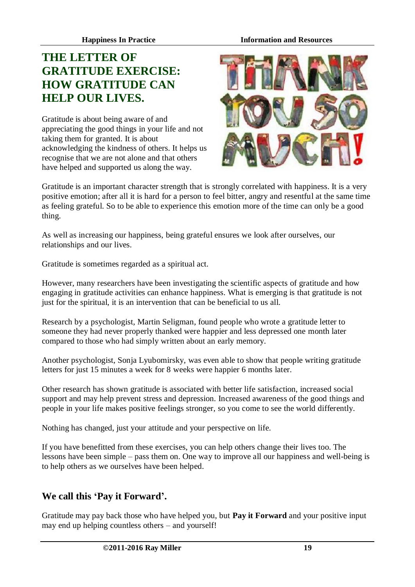## **THE LETTER OF GRATITUDE EXERCISE: HOW GRATITUDE CAN HELP OUR LIVES.**

Gratitude is about being aware of and appreciating the good things in your life and not taking them for granted. It is about acknowledging the kindness of others. It helps us recognise that we are not alone and that others have helped and supported us along the way.



Gratitude is an important character strength that is strongly correlated with happiness. It is a very positive emotion; after all it is hard for a person to feel bitter, angry and resentful at the same time as feeling grateful. So to be able to experience this emotion more of the time can only be a good thing.

As well as increasing our happiness, being grateful ensures we look after ourselves, our relationships and our lives.

Gratitude is sometimes regarded as a spiritual act.

However, many researchers have been investigating the scientific aspects of gratitude and how engaging in gratitude activities can enhance happiness. What is emerging is that gratitude is not just for the spiritual, it is an intervention that can be beneficial to us all.

Research by a psychologist, Martin Seligman, found people who wrote a gratitude letter to someone they had never properly thanked were happier and less depressed one month later compared to those who had simply written about an early memory.

Another psychologist, Sonja Lyubomirsky, was even able to show that people writing gratitude letters for just 15 minutes a week for 8 weeks were happier 6 months later.

Other research has shown gratitude is associated with better life satisfaction, increased social support and may help prevent stress and depression. Increased awareness of the good things and people in your life makes positive feelings stronger, so you come to see the world differently.

Nothing has changed, just your attitude and your perspective on life.

If you have benefitted from these exercises, you can help others change their lives too. The lessons have been simple – pass them on. One way to improve all our happiness and well-being is to help others as we ourselves have been helped.

#### **We call this 'Pay it Forward'.**

Gratitude may pay back those who have helped you, but **Pay it Forward** and your positive input may end up helping countless others – and yourself!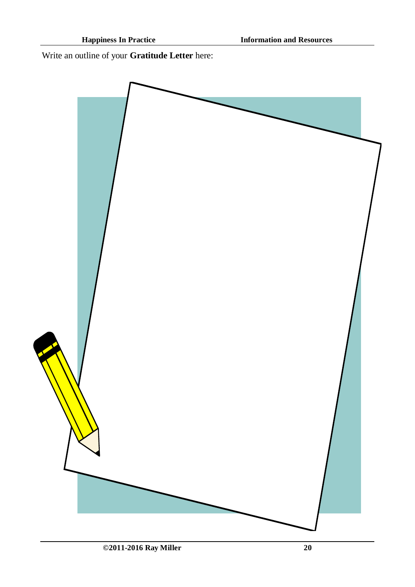Write an outline of your **Gratitude Letter** here:

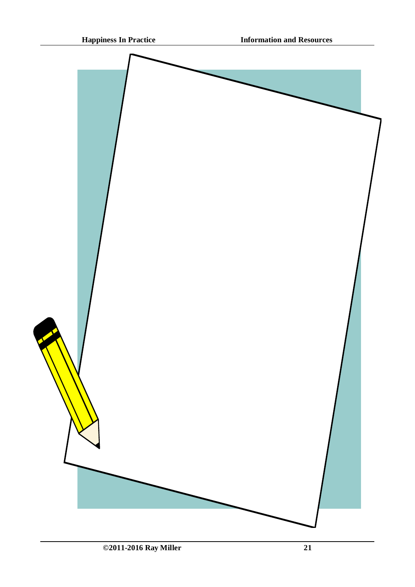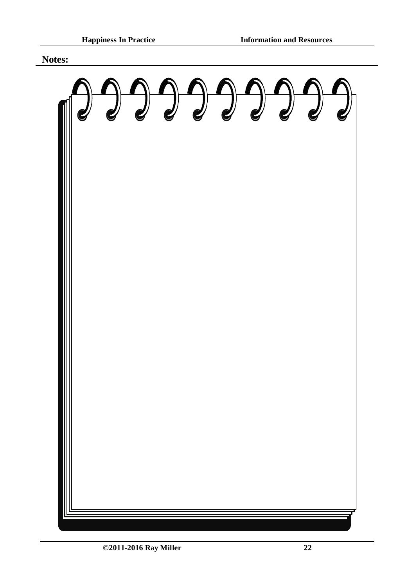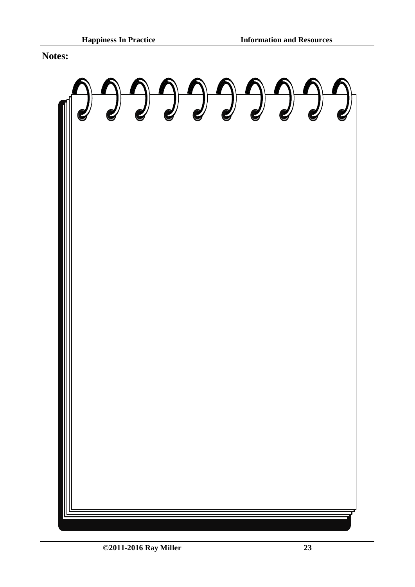